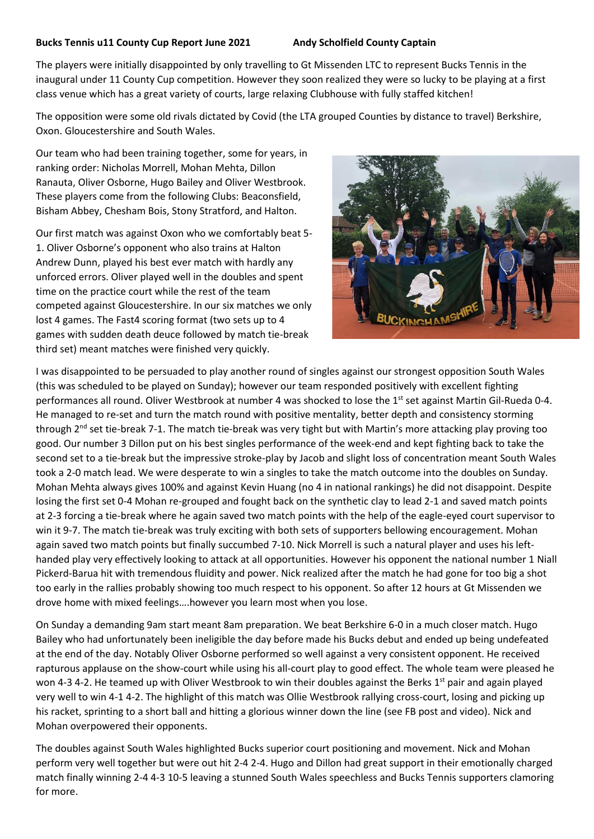## **Bucks Tennis u11 County Cup Report June 2021 Andy Scholfield County Captain**

The players were initially disappointed by only travelling to Gt Missenden LTC to represent Bucks Tennis in the inaugural under 11 County Cup competition. However they soon realized they were so lucky to be playing at a first class venue which has a great variety of courts, large relaxing Clubhouse with fully staffed kitchen!

The opposition were some old rivals dictated by Covid (the LTA grouped Counties by distance to travel) Berkshire, Oxon. Gloucestershire and South Wales.

Our team who had been training together, some for years, in ranking order: Nicholas Morrell, Mohan Mehta, Dillon Ranauta, Oliver Osborne, Hugo Bailey and Oliver Westbrook. These players come from the following Clubs: Beaconsfield, Bisham Abbey, Chesham Bois, Stony Stratford, and Halton.

Our first match was against Oxon who we comfortably beat 5- 1. Oliver Osborne's opponent who also trains at Halton Andrew Dunn, played his best ever match with hardly any unforced errors. Oliver played well in the doubles and spent time on the practice court while the rest of the team competed against Gloucestershire. In our six matches we only lost 4 games. The Fast4 scoring format (two sets up to 4 games with sudden death deuce followed by match tie-break third set) meant matches were finished very quickly.



I was disappointed to be persuaded to play another round of singles against our strongest opposition South Wales (this was scheduled to be played on Sunday); however our team responded positively with excellent fighting performances all round. Oliver Westbrook at number 4 was shocked to lose the 1<sup>st</sup> set against Martin Gil-Rueda 0-4. He managed to re-set and turn the match round with positive mentality, better depth and consistency storming through 2<sup>nd</sup> set tie-break 7-1. The match tie-break was very tight but with Martin's more attacking play proving too good. Our number 3 Dillon put on his best singles performance of the week-end and kept fighting back to take the second set to a tie-break but the impressive stroke-play by Jacob and slight loss of concentration meant South Wales took a 2-0 match lead. We were desperate to win a singles to take the match outcome into the doubles on Sunday. Mohan Mehta always gives 100% and against Kevin Huang (no 4 in national rankings) he did not disappoint. Despite losing the first set 0-4 Mohan re-grouped and fought back on the synthetic clay to lead 2-1 and saved match points at 2-3 forcing a tie-break where he again saved two match points with the help of the eagle-eyed court supervisor to win it 9-7. The match tie-break was truly exciting with both sets of supporters bellowing encouragement. Mohan again saved two match points but finally succumbed 7-10. Nick Morrell is such a natural player and uses his lefthanded play very effectively looking to attack at all opportunities. However his opponent the national number 1 Niall Pickerd-Barua hit with tremendous fluidity and power. Nick realized after the match he had gone for too big a shot too early in the rallies probably showing too much respect to his opponent. So after 12 hours at Gt Missenden we drove home with mixed feelings….however you learn most when you lose.

On Sunday a demanding 9am start meant 8am preparation. We beat Berkshire 6-0 in a much closer match. Hugo Bailey who had unfortunately been ineligible the day before made his Bucks debut and ended up being undefeated at the end of the day. Notably Oliver Osborne performed so well against a very consistent opponent. He received rapturous applause on the show-court while using his all-court play to good effect. The whole team were pleased he won 4-3 4-2. He teamed up with Oliver Westbrook to win their doubles against the Berks 1<sup>st</sup> pair and again played very well to win 4-1 4-2. The highlight of this match was Ollie Westbrook rallying cross-court, losing and picking up his racket, sprinting to a short ball and hitting a glorious winner down the line (see FB post and video). Nick and Mohan overpowered their opponents.

The doubles against South Wales highlighted Bucks superior court positioning and movement. Nick and Mohan perform very well together but were out hit 2-4 2-4. Hugo and Dillon had great support in their emotionally charged match finally winning 2-4 4-3 10-5 leaving a stunned South Wales speechless and Bucks Tennis supporters clamoring for more.